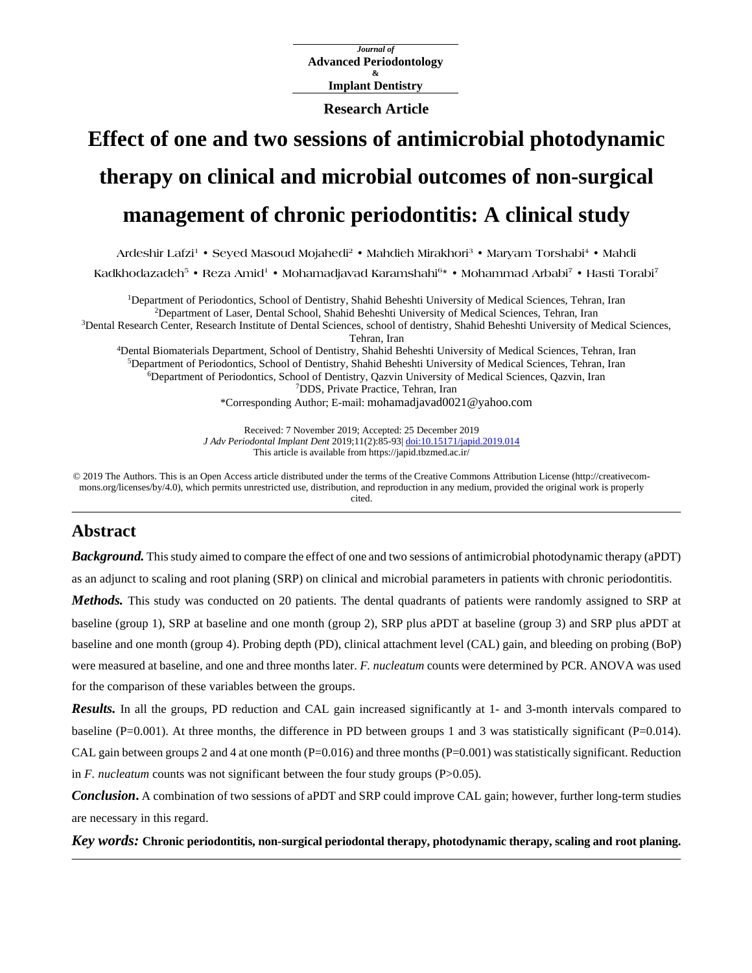*Journal of* **Advanced Periodontology & Implant Dentistry**

**Research Article**

# **Effect of one and two sessions of antimicrobial photodynamic therapy on clinical and microbial outcomes of non-surgical management of chronic periodontitis: A clinical study**

**Ardeshir Lafzi<sup>1</sup> • Seyed Masoud Mojahedi<sup>2</sup> • Mahdieh Mirakhori<sup>3</sup> • Maryam Torshabi<sup>4</sup> • Mahdi**

**Kadkhodazadeh<sup>5</sup> • Reza Amid<sup>1</sup> • Mohamadjavad Karamshahi<sup>6</sup> \* • Mohammad Arbabi<sup>7</sup> • Hasti Torabi<sup>7</sup>**

Department of Periodontics, School of Dentistry, Shahid Beheshti University of Medical Sciences, Tehran, Iran Department of Laser, Dental School, Shahid Beheshti University of Medical Sciences, Tehran, Iran Dental Research Center, Research Institute of Dental Sciences, school of dentistry, Shahid Beheshti University of Medical Sciences, Tehran, Iran Dental Biomaterials Department, School of Dentistry, Shahid Beheshti University of Medical Sciences, Tehran, Iran

Department of Periodontics, School of Dentistry, Shahid Beheshti University of Medical Sciences, Tehran, Iran Department of Periodontics, School of Dentistry, Qazvin University of Medical Sciences, Qazvin, Iran DDS, Private Practice, Tehran, Iran \*Corresponding Author; E-mail: mohamadjavad0021@yahoo.com

> Received: 7 November 2019; Accepted: 25 December 2019 *J Adv Periodontal Implant Dent* 2019;11(2):85-93| [doi:10.15171/japid.2019.014](http://dx.doi.org/10.15171/japid.2019.014) This article is available from https://japid.tbzmed.ac.ir/

© 2019 The Authors. This is an Open Access article distributed under the terms of the Creative Commons Attribution License (http://creativecommons.org/licenses/by/4.0), which permits unrestricted use, distribution, and reproduction in any medium, provided the original work is properly cited.

## **Abstract**

*Background*. This study aimed to compare the effect of one and two sessions of antimicrobial photodynamic therapy (aPDT) as an adjunct to scaling and root planing (SRP) on clinical and microbial parameters in patients with chronic periodontitis.

*Methods.* This study was conducted on 20 patients. The dental quadrants of patients were randomly assigned to SRP at baseline (group 1), SRP at baseline and one month (group 2), SRP plus aPDT at baseline (group 3) and SRP plus aPDT at baseline and one month (group 4). Probing depth (PD), clinical attachment level (CAL) gain, and bleeding on probing (BoP) were measured at baseline, and one and three months later. *F. nucleatum* counts were determined by PCR. ANOVA was used for the comparison of these variables between the groups.

*Results.* In all the groups, PD reduction and CAL gain increased significantly at 1- and 3-month intervals compared to baseline ( $P=0.001$ ). At three months, the difference in PD between groups 1 and 3 was statistically significant ( $P=0.014$ ). CAL gain between groups 2 and 4 at one month ( $P=0.016$ ) and three months ( $P=0.001$ ) was statistically significant. Reduction in  $F$ . *nucleatum* counts was not significant between the four study groups ( $P > 0.05$ ).

*Conclusion***.** A combination of two sessions of aPDT and SRP could improve CAL gain; however, further long-term studies are necessary in this regard.

*Key words:* **Chronic periodontitis, non-surgical periodontal therapy, photodynamic therapy, scaling and root planing.**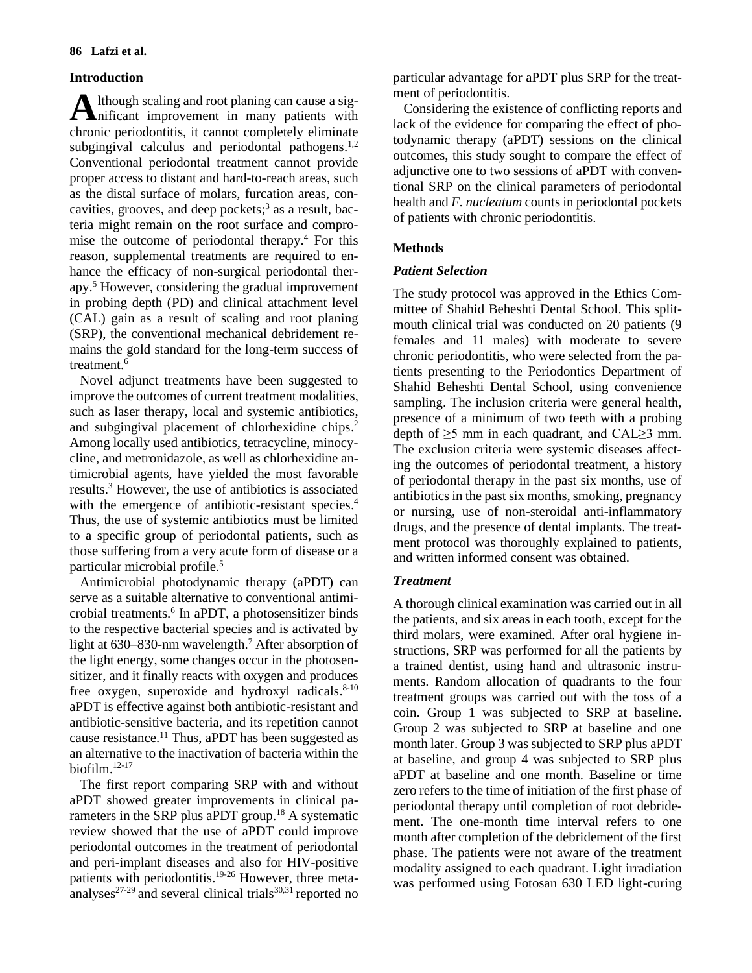## **Introduction**

lthough scaling and root planing can cause a sig-A lthough scaling and root planing can cause a sig-<br> **A** nificant improvement in many patients with chronic periodontitis, it cannot completely eliminate subgingival calculus and periodontal pathogens.<sup>1,2</sup> Conventional periodontal treatment cannot provide proper access to distant and hard-to-reach areas, such as the distal surface of molars, furcation areas, concavities, grooves, and deep pockets; 3 as a result, bacteria might remain on the root surface and compromise the outcome of periodontal therapy. <sup>4</sup> For this reason, supplemental treatments are required to enhance the efficacy of non-surgical periodontal therapy. <sup>5</sup> However, considering the gradual improvement in probing depth (PD) and clinical attachment level (CAL) gain as a result of scaling and root planing (SRP), the conventional mechanical debridement remains the gold standard for the long-term success of treatment. 6

Novel adjunct treatments have been suggested to improve the outcomes of current treatment modalities, such as laser therapy, local and systemic antibiotics, and subgingival placement of chlorhexidine chips. 2 Among locally used antibiotics, tetracycline, minocycline, and metronidazole, as well as chlorhexidine antimicrobial agents, have yielded the most favorable results. <sup>3</sup> However, the use of antibiotics is associated with the emergence of antibiotic-resistant species.<sup>4</sup> Thus, the use of systemic antibiotics must be limited to a specific group of periodontal patients, such as those suffering from a very acute form of disease or a particular microbial profile. 5

Antimicrobial photodynamic therapy (aPDT) can serve as a suitable alternative to conventional antimicrobial treatments. 6 In aPDT, a photosensitizer binds to the respective bacterial species and is activated by light at 630–830-nm wavelength.<sup>7</sup> After absorption of the light energy, some changes occur in the photosensitizer, and it finally reacts with oxygen and produces free oxygen, superoxide and hydroxyl radicals.<sup>8-10</sup> aPDT is effective against both antibiotic-resistant and antibiotic-sensitive bacteria, and its repetition cannot cause resistance. <sup>11</sup> Thus, aPDT has been suggested as an alternative to the inactivation of bacteria within the biofilm. 12-17

The first report comparing SRP with and without aPDT showed greater improvements in clinical parameters in the SRP plus aPDT group.<sup>18</sup> A systematic review showed that the use of aPDT could improve periodontal outcomes in the treatment of periodontal and peri-implant diseases and also for HIV-positive patients with periodontitis.<sup>19-26</sup> However, three metaanalyses<sup>27-29</sup> and several clinical trials<sup>30,31</sup> reported no particular advantage for aPDT plus SRP for the treatment of periodontitis.

Considering the existence of conflicting reports and lack of the evidence for comparing the effect of photodynamic therapy (aPDT) sessions on the clinical outcomes, this study sought to compare the effect of adjunctive one to two sessions of aPDT with conventional SRP on the clinical parameters of periodontal health and *F. nucleatum* counts in periodontal pockets of patients with chronic periodontitis.

## **Methods**

## *Patient Selection*

The study protocol was approved in the Ethics Committee of Shahid Beheshti Dental School. This splitmouth clinical trial was conducted on 20 patients (9 females and 11 males) with moderate to severe chronic periodontitis, who were selected from the patients presenting to the Periodontics Department of Shahid Beheshti Dental School, using convenience sampling. The inclusion criteria were general health, presence of a minimum of two teeth with a probing depth of ≥5 mm in each quadrant, and CAL≥3 mm. The exclusion criteria were systemic diseases affecting the outcomes of periodontal treatment, a history of periodontal therapy in the past six months, use of antibiotics in the past six months, smoking, pregnancy or nursing, use of non-steroidal anti-inflammatory drugs, and the presence of dental implants. The treatment protocol was thoroughly explained to patients, and written informed consent was obtained.

## *Treatment*

A thorough clinical examination was carried out in all the patients, and six areas in each tooth, except for the third molars, were examined. After oral hygiene instructions, SRP was performed for all the patients by a trained dentist, using hand and ultrasonic instruments. Random allocation of quadrants to the four treatment groups was carried out with the toss of a coin. Group 1 was subjected to SRP at baseline. Group 2 was subjected to SRP at baseline and one month later. Group 3 was subjected to SRP plus aPDT at baseline, and group 4 was subjected to SRP plus aPDT at baseline and one month. Baseline or time zero refers to the time of initiation of the first phase of periodontal therapy until completion of root debridement. The one-month time interval refers to one month after completion of the debridement of the first phase. The patients were not aware of the treatment modality assigned to each quadrant. Light irradiation was performed using Fotosan 630 LED light-curing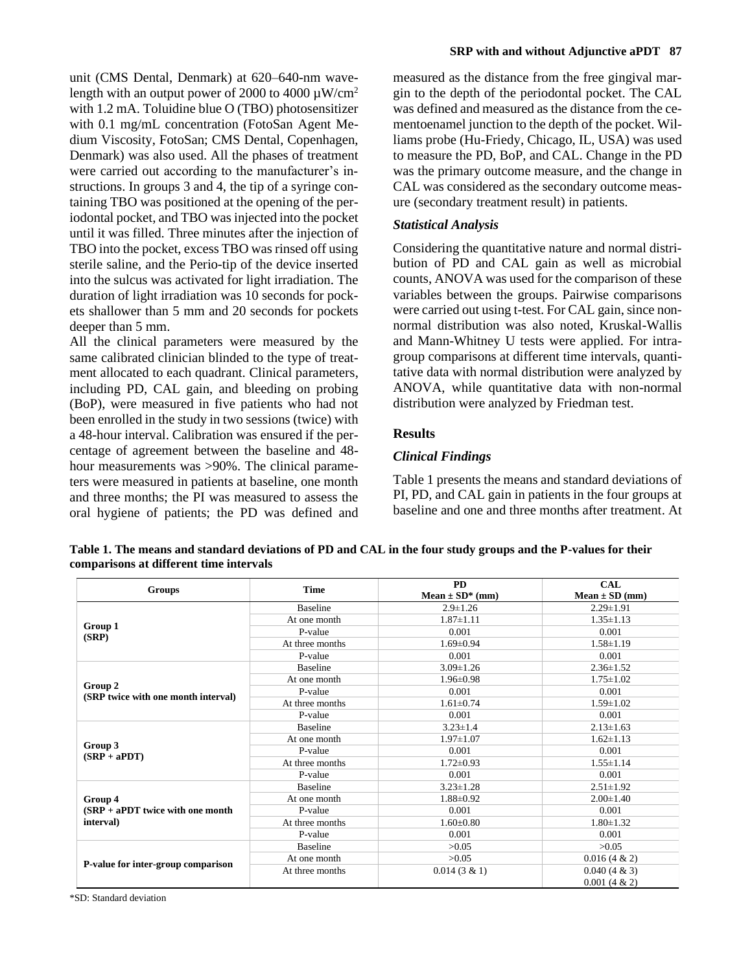unit (CMS Dental, Denmark) at 620–640-nm wavelength with an output power of 2000 to 4000  $\mu$ W/cm<sup>2</sup> with 1.2 mA. Toluidine blue O (TBO) photosensitizer with 0.1 mg/mL concentration (FotoSan Agent Medium Viscosity, FotoSan; CMS Dental, Copenhagen, Denmark) was also used. All the phases of treatment were carried out according to the manufacturer's instructions. In groups 3 and 4, the tip of a syringe containing TBO was positioned at the opening of the periodontal pocket, and TBO was injected into the pocket until it was filled. Three minutes after the injection of TBO into the pocket, excess TBO was rinsed off using sterile saline, and the Perio-tip of the device inserted into the sulcus was activated for light irradiation. The duration of light irradiation was 10 seconds for pockets shallower than 5 mm and 20 seconds for pockets deeper than 5 mm.

All the clinical parameters were measured by the same calibrated clinician blinded to the type of treatment allocated to each quadrant. Clinical parameters, including PD, CAL gain, and bleeding on probing (BoP), were measured in five patients who had not been enrolled in the study in two sessions (twice) with a 48-hour interval. Calibration was ensured if the percentage of agreement between the baseline and 48 hour measurements was >90%. The clinical parameters were measured in patients at baseline, one month and three months; the PI was measured to assess the oral hygiene of patients; the PD was defined and

measured as the distance from the free gingival margin to the depth of the periodontal pocket. The CAL was defined and measured as the distance from the cementoenamel junction to the depth of the pocket. Williams probe (Hu-Friedy, Chicago, IL, USA) was used to measure the PD, BoP, and CAL. Change in the PD was the primary outcome measure, and the change in CAL was considered as the secondary outcome measure (secondary treatment result) in patients.

## *Statistical Analysis*

Considering the quantitative nature and normal distribution of PD and CAL gain as well as microbial counts, ANOVA was used for the comparison of these variables between the groups. Pairwise comparisons were carried out using t-test. For CAL gain, since nonnormal distribution was also noted, Kruskal-Wallis and Mann-Whitney U tests were applied. For intragroup comparisons at different time intervals, quantitative data with normal distribution were analyzed by ANOVA, while quantitative data with non-normal distribution were analyzed by Friedman test.

### **Results**

#### *Clinical Findings*

Table 1 presents the means and standard deviations of PI, PD, and CAL gain in patients in the four groups at baseline and one and three months after treatment. At

**Table 1. The means and standard deviations of PD and CAL in the four study groups and the P-values for their comparisons at different time intervals**

| <b>Groups</b>                                  | <b>Time</b>     | <b>PD</b>           | <b>CAL</b>                         |  |
|------------------------------------------------|-----------------|---------------------|------------------------------------|--|
|                                                |                 | Mean $\pm$ SD* (mm) | $Mean \pm SD (mm)$                 |  |
|                                                | <b>Baseline</b> | $2.9 \pm 1.26$      | $2.29 \pm 1.91$                    |  |
|                                                | At one month    | $1.87 \pm 1.11$     | $1.35 \pm 1.13$                    |  |
| Group 1<br>(SRP)                               | P-value         | 0.001               | 0.001                              |  |
|                                                | At three months | $1.69 \pm 0.94$     | $1.58 \pm 1.19$                    |  |
|                                                | P-value         | 0.001               | 0.001                              |  |
|                                                | <b>Baseline</b> | $3.09 \pm 1.26$     | $2.36 \pm 1.52$                    |  |
|                                                | At one month    | $1.96 \pm 0.98$     | $1.75 \pm 1.02$                    |  |
| Group 2<br>(SRP twice with one month interval) | P-value         | 0.001               | 0.001                              |  |
|                                                | At three months | $1.61 \pm 0.74$     | $1.59 \pm 1.02$                    |  |
|                                                | P-value         | 0.001               | 0.001                              |  |
|                                                | <b>Baseline</b> | $3.23 \pm 1.4$      | $2.13 \pm 1.63$                    |  |
|                                                | At one month    | $1.97 \pm 1.07$     | $1.62 \pm 1.13$                    |  |
| Group 3<br>$(SRP + aPDT)$                      | P-value         | 0.001               | 0.001                              |  |
|                                                | At three months | $1.72 \pm 0.93$     | $1.55 \pm 1.14$                    |  |
|                                                | P-value         | 0.001               | 0.001                              |  |
|                                                | <b>Baseline</b> | $3.23 \pm 1.28$     | $2.51 \pm 1.92$                    |  |
| Group 4                                        | At one month    | $1.88 \pm 0.92$     | $2.00 \pm 1.40$                    |  |
| $(SRP + aPDT$ twice with one month             | P-value         | 0.001               | 0.001                              |  |
| interval)                                      | At three months | $1.60 \pm 0.80$     | $1.80 \pm 1.32$                    |  |
|                                                | P-value         | 0.001               | 0.001                              |  |
|                                                | <b>Baseline</b> | >0.05               | >0.05                              |  |
| P-value for inter-group comparison             | At one month    | >0.05               | $0.016(4 \& 2)$                    |  |
|                                                | At three months | $0.014(3 \& 1)$     | $0.040(4 \& 3)$<br>$0.001(4 \& 2)$ |  |

\*SD: Standard deviation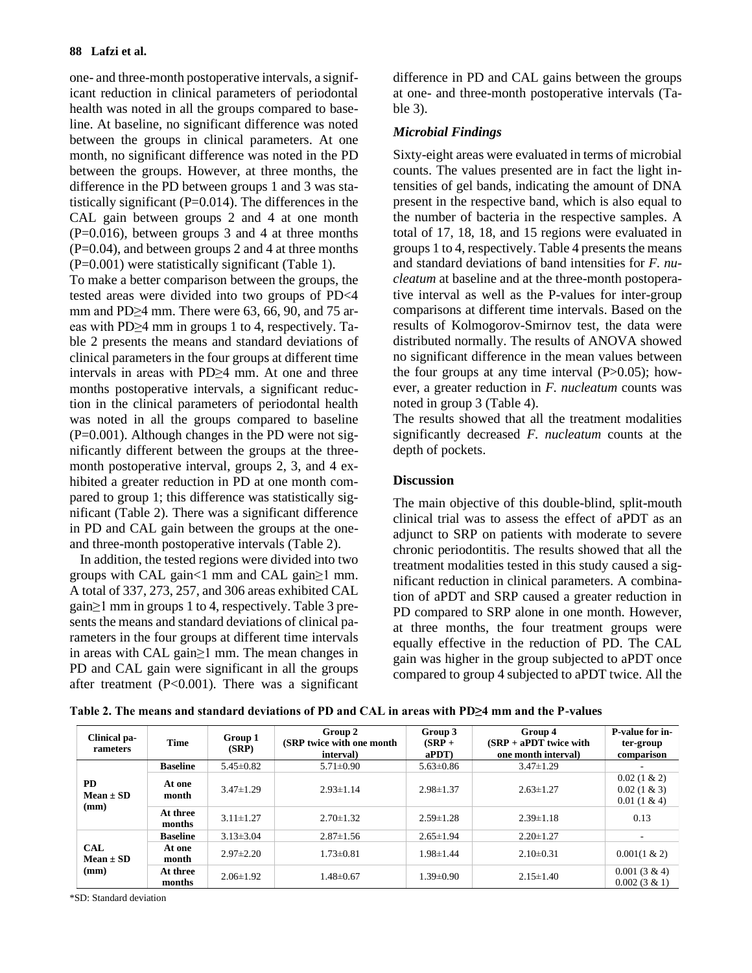one- and three-month postoperative intervals, a significant reduction in clinical parameters of periodontal health was noted in all the groups compared to baseline. At baseline, no significant difference was noted between the groups in clinical parameters. At one month, no significant difference was noted in the PD between the groups. However, at three months, the difference in the PD between groups 1 and 3 was statistically significant  $(P=0.014)$ . The differences in the CAL gain between groups 2 and 4 at one month  $(P=0.016)$ , between groups 3 and 4 at three months  $(P=0.04)$ , and between groups 2 and 4 at three months (P=0.001) were statistically significant (Table 1).

To make a better comparison between the groups, the tested areas were divided into two groups of PD<4 mm and PD≥4 mm. There were 63, 66, 90, and 75 areas with PD≥4 mm in groups 1 to 4, respectively. Table 2 presents the means and standard deviations of clinical parameters in the four groups at different time intervals in areas with PD≥4 mm. At one and three months postoperative intervals, a significant reduction in the clinical parameters of periodontal health was noted in all the groups compared to baseline  $(P=0.001)$ . Although changes in the PD were not significantly different between the groups at the threemonth postoperative interval, groups 2, 3, and 4 exhibited a greater reduction in PD at one month compared to group 1; this difference was statistically significant (Table 2). There was a significant difference in PD and CAL gain between the groups at the oneand three-month postoperative intervals (Table 2).

In addition, the tested regions were divided into two groups with CAL gain $\leq 1$  mm and CAL gain $\geq 1$  mm. A total of 337, 273, 257, and 306 areas exhibited CAL gain≥1 mm in groups 1 to 4, respectively. Table 3 presents the means and standard deviations of clinical parameters in the four groups at different time intervals in areas with CAL gain≥1 mm. The mean changes in PD and CAL gain were significant in all the groups after treatment  $(P<0.001)$ . There was a significant

difference in PD and CAL gains between the groups at one- and three-month postoperative intervals (Table 3).

## *Microbial Findings*

Sixty-eight areas were evaluated in terms of microbial counts. The values presented are in fact the light intensities of gel bands, indicating the amount of DNA present in the respective band, which is also equal to the number of bacteria in the respective samples. A total of 17, 18, 18, and 15 regions were evaluated in groups 1 to 4, respectively. Table 4 presents the means and standard deviations of band intensities for *F. nucleatum* at baseline and at the three-month postoperative interval as well as the P-values for inter-group comparisons at different time intervals. Based on the results of Kolmogorov-Smirnov test, the data were distributed normally. The results of ANOVA showed no significant difference in the mean values between the four groups at any time interval  $(P>0.05)$ ; however, a greater reduction in *F. nucleatum* counts was noted in group 3 (Table 4).

The results showed that all the treatment modalities significantly decreased *F. nucleatum* counts at the depth of pockets.

## **Discussion**

The main objective of this double-blind, split-mouth clinical trial was to assess the effect of aPDT as an adjunct to SRP on patients with moderate to severe chronic periodontitis. The results showed that all the treatment modalities tested in this study caused a significant reduction in clinical parameters. A combination of aPDT and SRP caused a greater reduction in PD compared to SRP alone in one month. However, at three months, the four treatment groups were equally effective in the reduction of PD. The CAL gain was higher in the group subjected to aPDT once compared to group 4 subjected to aPDT twice. All the

| Clinical pa-<br>rameters            | Time               | Group 1<br>(SRP) | Group 2<br>(SRP twice with one month<br>interval) | Group 3<br>$(SRP +$<br>$a$ PDT $)$ | Group 4<br>$(SRP + aPDT$ twice with<br>one month interval) | <b>P-value for in-</b><br>ter-group<br>comparison  |
|-------------------------------------|--------------------|------------------|---------------------------------------------------|------------------------------------|------------------------------------------------------------|----------------------------------------------------|
| <b>PD</b><br>$Mean \pm SD$<br>(mm)  | <b>Baseline</b>    | $5.45 \pm 0.82$  | $5.71 \pm 0.90$                                   | $5.63 \pm 0.86$                    | $3.47 \pm 1.29$                                            |                                                    |
|                                     | At one<br>month    | $3.47 \pm 1.29$  | $2.93 \pm 1.14$                                   | $2.98 \pm 1.37$                    | $2.63 \pm 1.27$                                            | $0.02(1 \& 2)$<br>$0.02(1 \& 3)$<br>$0.01(1 \& 4)$ |
|                                     | At three<br>months | $3.11 \pm 1.27$  | $2.70 \pm 1.32$                                   | $2.59 \pm 1.28$                    | $2.39 \pm 1.18$                                            | 0.13                                               |
| <b>CAL</b><br>$Mean \pm SD$<br>(mm) | <b>Baseline</b>    | $3.13 \pm 3.04$  | $2.87 \pm 1.56$                                   | $2.65 \pm 1.94$                    | $2.20 \pm 1.27$                                            | $\sim$                                             |
|                                     | At one<br>month    | $2.97 \pm 2.20$  | $1.73 \pm 0.81$                                   | $1.98 \pm 1.44$                    | $2.10\pm0.31$                                              | $0.001(1 \& 2)$                                    |
|                                     | At three<br>months | $2.06 \pm 1.92$  | $1.48 \pm 0.67$                                   | $1.39 \pm 0.90$                    | $2.15 \pm 1.40$                                            | $0.001(3 \& 4)$<br>$0.002(3 \& 1)$                 |

**Table 2. The means and standard deviations of PD and CAL in areas with PD≥4 mm and the P-values**

\*SD: Standard deviation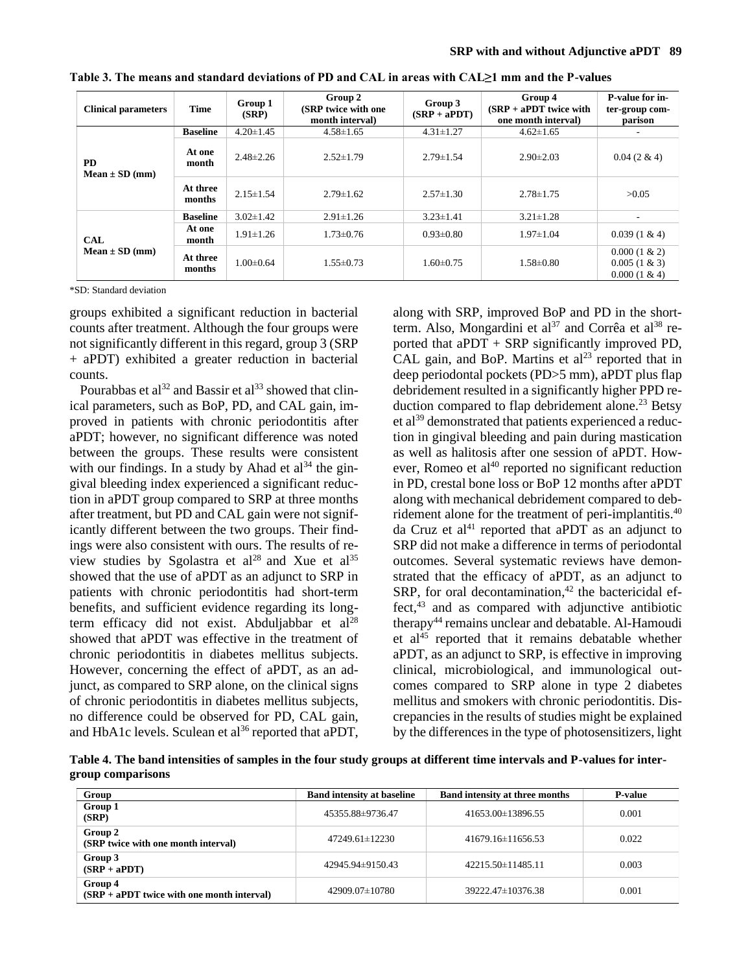| <b>Clinical parameters</b>       | <b>Time</b>        | Group 1<br>(SRP) | Group 2<br>(SRP twice with one<br>month interval) | Group 3<br>$(SRP + aPDT)$ | Group 4<br>$(SRP + aPDT$ twice with<br>one month interval | P-value for in-<br>ter-group com-<br>parison          |
|----------------------------------|--------------------|------------------|---------------------------------------------------|---------------------------|-----------------------------------------------------------|-------------------------------------------------------|
|                                  | <b>Baseline</b>    | $4.20 \pm 1.45$  | $4.58 \pm 1.65$                                   | $4.31 \pm 1.27$           | $4.62 \pm 1.65$                                           |                                                       |
| <b>PD</b><br>$Mean \pm SD$ (mm)  | At one<br>month    | $2.48 \pm 2.26$  | $2.52 \pm 1.79$                                   | $2.79 \pm 1.54$           | $2.90 \pm 2.03$                                           | $0.04(2 \& 4)$                                        |
|                                  | At three<br>months | $2.15 \pm 1.54$  | $2.79 \pm 1.62$                                   | $2.57 \pm 1.30$           | $2.78 \pm 1.75$                                           | >0.05                                                 |
| <b>CAL</b><br>$Mean \pm SD$ (mm) | <b>Baseline</b>    | $3.02 \pm 1.42$  | $2.91 \pm 1.26$                                   | $3.23 \pm 1.41$           | $3.21 \pm 1.28$                                           |                                                       |
|                                  | At one<br>month    | $1.91 \pm 1.26$  | $1.73 \pm 0.76$                                   | $0.93 \pm 0.80$           | $1.97 \pm 1.04$                                           | $0.039(1 \& 4)$                                       |
|                                  | At three<br>months | $1.00 \pm 0.64$  | $1.55 \pm 0.73$                                   | $1.60 \pm 0.75$           | $1.58 \pm 0.80$                                           | $0.000(1 \& 2)$<br>$0.005(1 \& 3)$<br>$0.000(1 \& 4)$ |

**Table 3. The means and standard deviations of PD and CAL in areas with CAL≥1 mm and the P-values**

\*SD: Standard deviation

groups exhibited a significant reduction in bacterial counts after treatment. Although the four groups were not significantly different in this regard, group 3 (SRP + aPDT) exhibited a greater reduction in bacterial counts.

Pourabbas et al $^{32}$  and Bassir et al $^{33}$  showed that clinical parameters, such as BoP, PD, and CAL gain, improved in patients with chronic periodontitis after aPDT; however, no significant difference was noted between the groups. These results were consistent with our findings. In a study by Ahad et al $34$  the gingival bleeding index experienced a significant reduction in aPDT group compared to SRP at three months after treatment, but PD and CAL gain were not significantly different between the two groups. Their findings were also consistent with ours. The results of review studies by Sgolastra et al<sup>28</sup> and Xue et al<sup>35</sup> showed that the use of aPDT as an adjunct to SRP in patients with chronic periodontitis had short-term benefits, and sufficient evidence regarding its longterm efficacy did not exist. Abduljabbar et  $al^{28}$ showed that aPDT was effective in the treatment of chronic periodontitis in [diabetes mellitus](https://www.ncbi.nlm.nih.gov/pubmed/29280610) subjects. However, concerning the effect of aPDT, as an adjunct, as compared to SRP alone, on the clinical signs of chronic periodontitis in [diabetes mellitus](https://www.ncbi.nlm.nih.gov/pubmed/29280610) subjects, no difference could be observed for PD, CAL gain, and HbA1c levels. Sculean et  $al^{36}$  reported that aPDT,

along with SRP, improved BoP and PD in the shortterm. Also, Mongardini et al<sup>37</sup> and Corrêa et al<sup>38</sup> reported that aPDT + SRP significantly improved PD, CAL gain, and BoP. Martins et  $al<sup>23</sup>$  reported that in deep periodontal pockets (PD>5 mm), aPDT plus flap debridement resulted in a significantly higher PPD reduction compared to flap debridement alone. <sup>23</sup> Betsy et al<sup>39</sup> demonstrated that patients experienced a reduction in gingival bleeding and pain during mastication as well as halitosis after one session of aPDT. However, Romeo et al $40$  reported no significant reduction in PD, crestal bone loss or BoP 12 months after aPDT along with mechanical debridement compared to debridement alone for the treatment of peri-implantitis.<sup>40</sup> da Cruz et al<sup>41</sup> reported that aPDT as an adjunct to SRP did not make a difference in terms of periodontal outcomes. Several systematic reviews have demonstrated that the efficacy of aPDT, as an adjunct to SRP, for oral decontamination,<sup>42</sup> the bactericidal effect, <sup>43</sup> and as compared with adjunctive antibiotic therapy<sup>44</sup> remains unclear and debatable. Al-Hamoudi et  $al^{45}$  reported that it remains debatable whether aPDT, as an adjunct to SRP, is effective in improving clinical, microbiological, and immunological outcomes compared to SRP alone in type 2 diabetes mellitus and smokers with chronic periodontitis. Discrepancies in the results of studies might be explained by the differences in the type of photosensitizers, light

**Table 4. The band intensities of samples in the four study groups at different time intervals and P-values for intergroup comparisons**

| Group                                                   | <b>Band intensity at baseline</b> | <b>Band intensity at three months</b> | <b>P-value</b> |
|---------------------------------------------------------|-----------------------------------|---------------------------------------|----------------|
| Group 1<br>(SRP)                                        | 45355.88±9736.47                  | 41653.00±13896.55                     | 0.001          |
| Group 2<br>(SRP twice with one month interval)          | 47249.61±12230                    | $41679.16\pm11656.53$                 | 0.022          |
| Group 3<br>$(SRP + aPDT)$                               | $42945.94\pm9150.43$              | $42215.50 \pm 11485.11$               | 0.003          |
| Group 4<br>$(SRP + aPDT$ twice with one month interval) | 42909.07±10780                    | 39222.47±10376.38                     | 0.001          |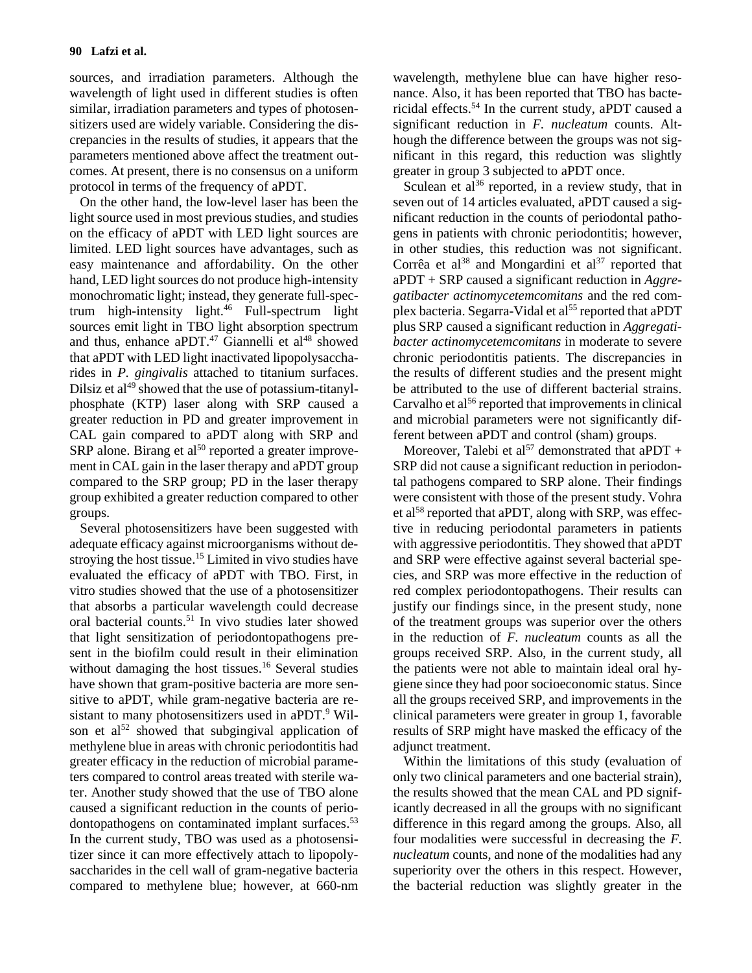sources, and irradiation parameters. Although the wavelength of light used in different studies is often similar, irradiation parameters and types of photosensitizers used are widely variable. Considering the discrepancies in the results of studies, it appears that the parameters mentioned above affect the treatment outcomes. At present, there is no consensus on a uniform protocol in terms of the frequency of aPDT.

On the other hand, the low-level laser has been the light source used in most previous studies, and studies on the efficacy of aPDT with LED light sources are limited. LED light sources have advantages, such as easy maintenance and affordability. On the other hand, LED light sources do not produce high-intensity monochromatic light; instead, they generate full-spectrum high-intensity light. <sup>46</sup> Full-spectrum light sources emit light in TBO light absorption spectrum and thus, enhance aPDT. $47$  Giannelli et al $48$  showed that aPDT with LED light inactivated lipopolysaccharides in *P. gingivalis* attached to titanium surfaces. Dilsiz et  $al^{49}$  showed that the use of potassium-titanylphosphate (KTP) laser along with SRP caused a greater reduction in PD and greater improvement in CAL gain compared to aPDT along with SRP and  $SRP$  alone. Birang et al<sup>50</sup> reported a greater improvement in CAL gain in the laser therapy and aPDT group compared to the SRP group; PD in the laser therapy group exhibited a greater reduction compared to other groups.

Several photosensitizers have been suggested with adequate efficacy against microorganisms without destroying the host tissue. <sup>15</sup> Limited in vivo studies have evaluated the efficacy of aPDT with TBO. First, in vitro studies showed that the use of a photosensitizer that absorbs a particular wavelength could decrease oral bacterial counts. <sup>51</sup> In vivo studies later showed that light sensitization of periodontopathogens present in the biofilm could result in their elimination without damaging the host tissues. <sup>16</sup> Several studies have shown that gram-positive bacteria are more sensitive to aPDT, while gram-negative bacteria are resistant to many photosensitizers used in aPDT.<sup>9</sup> Wilson et al<sup>52</sup> showed that subgingival application of methylene blue in areas with chronic periodontitis had greater efficacy in the reduction of microbial parameters compared to control areas treated with sterile water. Another study showed that the use of TBO alone caused a significant reduction in the counts of periodontopathogens on contaminated implant surfaces.<sup>53</sup> In the current study, TBO was used as a photosensitizer since it can more effectively attach to lipopolysaccharides in the cell wall of gram-negative bacteria compared to methylene blue; however, at 660-nm

wavelength, methylene blue can have higher resonance. Also, it has been reported that TBO has bactericidal effects. <sup>54</sup> In the current study, aPDT caused a significant reduction in *F. nucleatum* counts. Although the difference between the groups was not significant in this regard, this reduction was slightly greater in group 3 subjected to aPDT once.

Sculean et al<sup>36</sup> reported, in a review study, that in seven out of 14 articles evaluated, aPDT caused a significant reduction in the counts of periodontal pathogens in patients with chronic periodontitis; however, in other studies, this reduction was not significant. Corrêa et al<sup>38</sup> and Mongardini et al<sup>37</sup> reported that aPDT + SRP caused a significant reduction in *Aggregatibacter actinomycetemcomitans* and the red complex bacteria. Segarra-Vidal et al<sup>55</sup> reported that aPDT plus SRP caused a significant reduction in *Aggregatibacter actinomycetemcomitans* in moderate to severe chronic periodontitis patients. The discrepancies in the results of different studies and the present might be attributed to the use of different bacterial strains. Carvalho et al<sup>56</sup> reported that improvements in clinical and microbial parameters were not significantly different between aPDT and control (sham) groups.

Moreover, Talebi et al<sup>57</sup> demonstrated that aPDT + SRP did not cause a significant reduction in periodontal pathogens compared to SRP alone. Their findings were consistent with those of the present study. Vohra et al<sup>58</sup> reported that aPDT, along with SRP, was effective in reducing periodontal parameters in patients with aggressive periodontitis. They showed that aPDT and SRP were effective against several bacterial species, and SRP was more effective in the reduction of red complex periodontopathogens. Their results can justify our findings since, in the present study, none of the treatment groups was superior over the others in the reduction of *F. nucleatum* counts as all the groups received SRP. Also, in the current study, all the patients were not able to maintain ideal oral hygiene since they had poor socioeconomic status. Since all the groups received SRP, and improvements in the clinical parameters were greater in group 1, favorable results of SRP might have masked the efficacy of the adjunct treatment.

Within the limitations of this study (evaluation of only two clinical parameters and one bacterial strain), the results showed that the mean CAL and PD significantly decreased in all the groups with no significant difference in this regard among the groups. Also, all four modalities were successful in decreasing the *F. nucleatum* counts, and none of the modalities had any superiority over the others in this respect. However, the bacterial reduction was slightly greater in the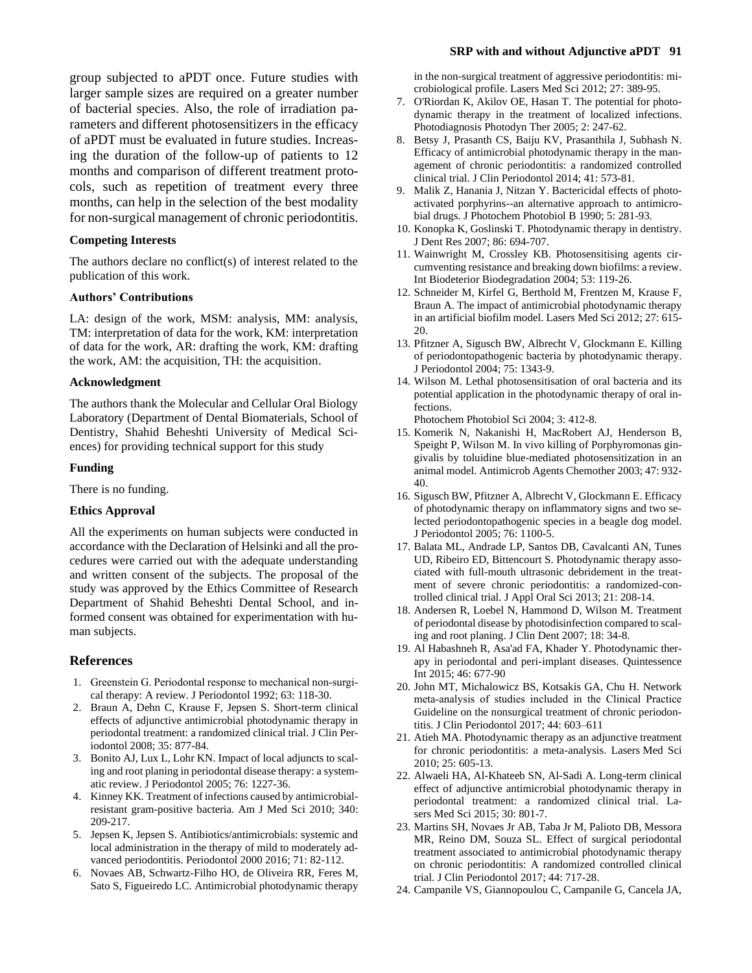group subjected to aPDT once. Future studies with larger sample sizes are required on a greater number of bacterial species. Also, the role of irradiation parameters and different photosensitizers in the efficacy of aPDT must be evaluated in future studies. Increasing the duration of the follow-up of patients to 12 months and comparison of different treatment protocols, such as repetition of treatment every three months, can help in the selection of the best modality for non-surgical management of chronic periodontitis.

#### **Competing Interests**

The authors declare no conflict(s) of interest related to the publication of this work.

#### **Authors' Contributions**

LA: design of the work, MSM: analysis, MM: analysis, TM: interpretation of data for the work, KM: interpretation of data for the work, AR: drafting the work, KM: drafting the work, AM: the acquisition, TH: the acquisition.

#### **Acknowledgment**

The authors thank the Molecular and Cellular Oral Biology Laboratory (Department of Dental Biomaterials, School of Dentistry, Shahid Beheshti University of Medical Sciences) for providing technical support for this study

#### **Funding**

There is no funding.

#### **Ethics Approval**

All the experiments on human subjects were conducted in accordance with the Declaration of Helsinki and all the procedures were carried out with the adequate understanding and written consent of the subjects. The proposal of the study was approved by the Ethics Committee of Research Department of Shahid Beheshti Dental School, and informed consent was obtained for experimentation with human subjects.

#### **References**

- 1. Greenstein G. Periodontal response to mechanical non‐surgical therapy: A review. J Periodontol 1992; 63: 118-30.
- 2. Braun A, Dehn C, Krause F, Jepsen S. Short-term clinical effects of adjunctive antimicrobial photodynamic therapy in periodontal treatment: a randomized clinical trial. J Clin Periodontol 2008; 35: 877-84.
- 3. Bonito AJ, Lux L, Lohr KN. Impact of local adjuncts to scaling and root planing in periodontal disease therapy: a systematic review. J Periodontol 2005; 76: 1227-36.
- 4. Kinney KK. Treatment of infections caused by antimicrobialresistant gram-positive bacteria. Am J Med Sci 2010; 340: 209-217.
- 5. Jepsen K, Jepsen S. Antibiotics/antimicrobials: systemic and local administration in the therapy of mild to moderately advanced periodontitis. Periodontol 2000 2016; 71: 82-112.
- 6. Novaes AB, Schwartz-Filho HO, de Oliveira RR, Feres M, Sato S, Figueiredo LC. Antimicrobial photodynamic therapy

in the non-surgical treatment of aggressive periodontitis: microbiological profile. Lasers Med Sci 2012; 27: 389-95.

- 7. O'Riordan K, Akilov OE, Hasan T. The potential for photodynamic therapy in the treatment of localized infections. Photodiagnosis Photodyn Ther 2005; 2: 247-62.
- 8. Betsy J, Prasanth CS, Baiju KV, Prasanthila J, Subhash N. Efficacy of antimicrobial photodynamic therapy in the management of chronic periodontitis: a randomized controlled clinical trial. J Clin Periodontol 2014; 41: 573-81.
- 9. Malik Z, Hanania J, Nitzan Y. Bactericidal effects of photoactivated porphyrins--an alternative approach to antimicrobial drugs. J Photochem Photobiol B 1990; 5: 281-93.
- 10. Konopka K, Goslinski T. Photodynamic therapy in dentistry. J Dent Res 2007; 86: 694-707.
- 11. Wainwright M, Crossley KB. Photosensitising agents circumventing resistance and breaking down biofilms: a review. Int Biodeterior Biodegradation 2004; 53: 119-26.
- 12. Schneider M, Kirfel G, Berthold M, Frentzen M, Krause F, Braun A. The impact of antimicrobial photodynamic therapy in an artificial biofilm model. Lasers Med Sci 2012; 27: 615- 20.
- 13. Pfitzner A, Sigusch BW, Albrecht V, Glockmann E. Killing of periodontopathogenic bacteria by photodynamic therapy. J Periodontol 2004; 75: 1343-9.
- 14. Wilson M. Lethal photosensitisation of oral bacteria and its potential application in the photodynamic therapy of oral infections.

Photochem Photobiol Sci 2004; 3: 412-8.

- 15. Komerik N, Nakanishi H, MacRobert AJ, Henderson B, Speight P, Wilson M. In vivo killing of Porphyromonas gingivalis by toluidine blue-mediated photosensitization in an animal model. Antimicrob Agents Chemother 2003; 47: 932- 40.
- 16. Sigusch BW, Pfitzner A, Albrecht V, Glockmann E. Efficacy of photodynamic therapy on inflammatory signs and two selected periodontopathogenic species in a beagle dog model. J Periodontol 2005; 76: 1100-5.
- 17. Balata ML, Andrade LP, Santos DB, Cavalcanti AN, Tunes UD, Ribeiro ED, Bittencourt S. Photodynamic therapy associated with full-mouth ultrasonic debridement in the treatment of severe chronic periodontitis: a randomized-controlled clinical trial. J Appl Oral Sci 2013; 21: 208-14.
- 18. Andersen R, Loebel N, Hammond D, Wilson M. Treatment of periodontal disease by photodisinfection compared to scaling and root planing. J Clin Dent 2007; 18: 34-8.
- 19. Al Habashneh R, Asa'ad FA, Khader Y. Photodynamic therapy in periodontal and peri-implant diseases. Quintessence Int 2015; 46: 677-90
- 20. John MT, Michalowicz BS, Kotsakis GA, Chu H. Network meta‐analysis of studies included in the Clinical Practice Guideline on the nonsurgical treatment of chronic periodontitis. J Clin Periodontol 2017; 44: 603–611
- 21. Atieh MA. Photodynamic therapy as an adjunctive treatment for chronic periodontitis: a meta-analysis. Lasers Med Sci 2010; 25: 605-13.
- 22. Alwaeli HA, Al-Khateeb SN, Al-Sadi A. Long-term clinical effect of adjunctive antimicrobial photodynamic therapy in periodontal treatment: a randomized clinical trial. Lasers Med Sci 2015; 30: 801-7.
- 23. Martins SH, Novaes Jr AB, Taba Jr M, Palioto DB, Messora MR, Reino DM, Souza SL. Effect of surgical periodontal treatment associated to antimicrobial photodynamic therapy on chronic periodontitis: A randomized controlled clinical trial. J Clin Periodontol 2017; 44: 717-28.
- 24. Campanile VS, Giannopoulou C, Campanile G, Cancela JA,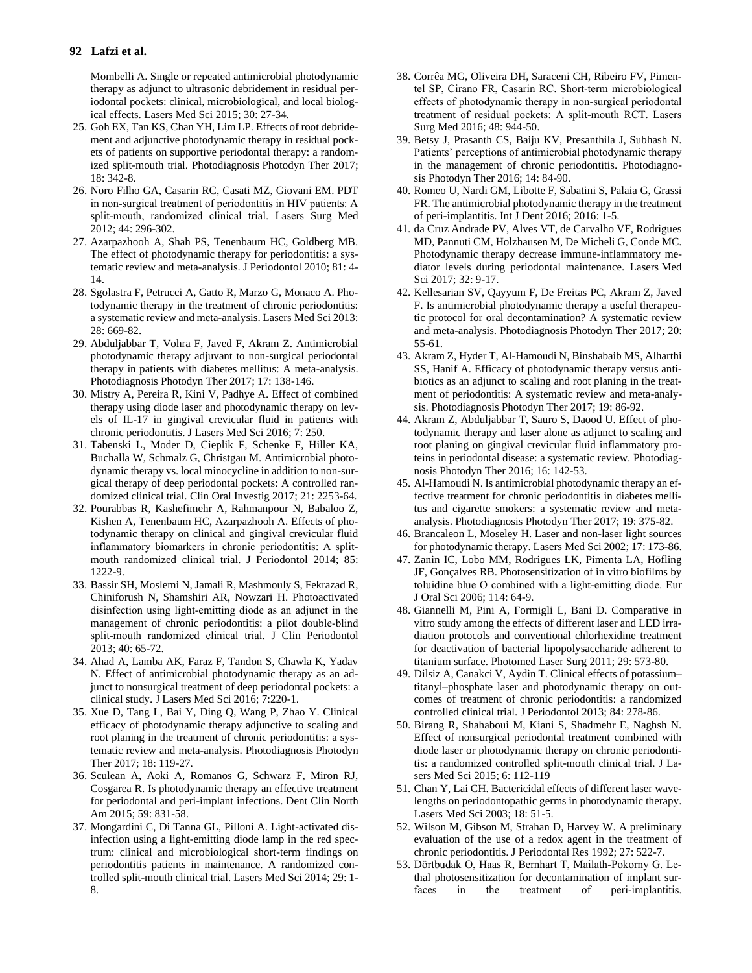#### **92 Lafzi et al.**

Mombelli A. Single or repeated antimicrobial photodynamic therapy as adjunct to ultrasonic debridement in residual periodontal pockets: clinical, microbiological, and local biological effects. Lasers Med Sci 2015; 30: 27-34.

- 25. Goh EX, Tan KS, Chan YH, Lim LP. Effects of root debridement and adjunctive photodynamic therapy in residual pockets of patients on supportive periodontal therapy: a randomized split-mouth trial. Photodiagnosis Photodyn Ther 2017; 18: 342-8.
- 26. Noro Filho GA, Casarin RC, Casati MZ, Giovani EM. PDT in non‐surgical treatment of periodontitis in HIV patients: A split‐mouth, randomized clinical trial. Lasers Surg Med 2012; 44: 296-302.
- 27. Azarpazhooh A, Shah PS, Tenenbaum HC, Goldberg MB. The effect of photodynamic therapy for periodontitis: a systematic review and meta-analysis. J Periodontol 2010; 81: 4- 14.
- 28. Sgolastra F, Petrucci A, Gatto R, Marzo G, Monaco A. Photodynamic therapy in the treatment of chronic periodontitis: a systematic review and meta-analysis. Lasers Med Sci 2013: 28: 669-82.
- 29. Abduljabbar T, Vohra F, Javed F, Akram Z. Antimicrobial photodynamic therapy adjuvant to non-surgical periodontal therapy in patients with diabetes mellitus: A meta-analysis. Photodiagnosis Photodyn Ther 2017; 17: 138-146.
- 30. Mistry A, Pereira R, Kini V, Padhye A. Effect of combined therapy using diode laser and photodynamic therapy on levels of IL-17 in gingival crevicular fluid in patients with chronic periodontitis. J Lasers Med Sci 2016; 7: 250.
- 31. Tabenski L, Moder D, Cieplik F, Schenke F, Hiller KA, Buchalla W, Schmalz G, Christgau M. Antimicrobial photodynamic therapy vs. local minocycline in addition to non-surgical therapy of deep periodontal pockets: A controlled randomized clinical trial. Clin Oral Investig 2017; 21: 2253-64.
- 32. Pourabbas R, Kashefimehr A, Rahmanpour N, Babaloo Z, Kishen A, Tenenbaum HC, Azarpazhooh A. Effects of photodynamic therapy on clinical and gingival crevicular fluid inflammatory biomarkers in chronic periodontitis: A split‐ mouth randomized clinical trial. J Periodontol 2014; 85: 1222-9.
- 33. Bassir SH, Moslemi N, Jamali R, Mashmouly S, Fekrazad R, Chiniforush N, Shamshiri AR, Nowzari H. Photoactivated disinfection using light‐emitting diode as an adjunct in the management of chronic periodontitis: a pilot double‐blind split‐mouth randomized clinical trial. J Clin Periodontol 2013; 40: 65-72.
- 34. Ahad A, Lamba AK, Faraz F, Tandon S, Chawla K, Yadav N. Effect of antimicrobial photodynamic therapy as an adjunct to nonsurgical treatment of deep periodontal pockets: a clinical study. J Lasers Med Sci 2016; 7:220-1.
- 35. Xue D, Tang L, Bai Y, Ding Q, Wang P, Zhao Y. Clinical efficacy of photodynamic therapy adjunctive to scaling and root planing in the treatment of chronic periodontitis: a systematic review and meta-analysis. Photodiagnosis Photodyn Ther 2017; 18: 119-27.
- 36. Sculean A, Aoki A, Romanos G, Schwarz F, Miron RJ, Cosgarea R. Is photodynamic therapy an effective treatment for periodontal and peri-implant infections. [Dent Clin North](https://www.ncbi.nlm.nih.gov/pubmed/26427570)  [Am](https://www.ncbi.nlm.nih.gov/pubmed/26427570) 2015; 59: 831-58.
- 37. Mongardini C, Di Tanna GL, Pilloni A. Light-activated disinfection using a light-emitting diode lamp in the red spectrum: clinical and microbiological short-term findings on periodontitis patients in maintenance. A randomized controlled split-mouth clinical trial. Lasers Med Sci 2014; 29: 1- 8.
- 38. Corrêa MG, Oliveira DH, Saraceni CH, Ribeiro FV, Pimentel SP, Cirano FR, Casarin RC. Short‐term microbiological effects of photodynamic therapy in non‐surgical periodontal treatment of residual pockets: A split‐mouth RCT. Lasers Surg Med 2016; 48: 944-50.
- 39. Betsy J, Prasanth CS, Baiju KV, Presanthila J, Subhash N. Patients' perceptions of antimicrobial photodynamic therapy in the management of chronic periodontitis. Photodiagnosis Photodyn Ther 2016; 14: 84-90.
- 40. Romeo U, Nardi GM, Libotte F, Sabatini S, Palaia G, Grassi FR. The antimicrobial photodynamic therapy in the treatment of peri-implantitis. Int J Dent 2016; 2016: 1-5.
- 41. da Cruz Andrade PV, Alves VT, de Carvalho VF, Rodrigues MD, Pannuti CM, Holzhausen M, De Micheli G, Conde MC. Photodynamic therapy decrease immune-inflammatory mediator levels during periodontal maintenance. Lasers Med Sci 2017; 32: 9-17.
- 42. Kellesarian SV, Qayyum F, De Freitas PC, Akram Z, Javed F. Is antimicrobial photodynamic therapy a useful therapeutic protocol for oral decontamination? A systematic review and meta-analysis. Photodiagnosis Photodyn Ther 2017; 20: 55-61.
- 43. Akram Z, Hyder T, Al-Hamoudi N, Binshabaib MS, Alharthi SS, Hanif A. Efficacy of photodynamic therapy versus antibiotics as an adjunct to scaling and root planing in the treatment of periodontitis: A systematic review and meta-analysis. Photodiagnosis Photodyn Ther 2017; 19: 86-92.
- 44. Akram Z, Abduljabbar T, Sauro S, Daood U. Effect of photodynamic therapy and laser alone as adjunct to scaling and root planing on gingival crevicular fluid inflammatory proteins in periodontal disease: a systematic review. Photodiagnosis Photodyn Ther 2016; 16: 142-53.
- 45. Al-Hamoudi N. Is antimicrobial photodynamic therapy an effective treatment for chronic periodontitis in diabetes mellitus and cigarette smokers: a systematic review and metaanalysis. Photodiagnosis Photodyn Ther 2017; 19: 375-82.
- 46. Brancaleon L, Moseley H. Laser and non-laser light sources for photodynamic therapy. Lasers Med Sci 2002; 17: 173-86.
- 47. Zanin IC, Lobo MM, Rodrigues LK, Pimenta LA, Höfling JF, Gonçalves RB. Photosensitization of in vitro biofilms by toluidine blue O combined with a light‐emitting diode. Eur J Oral Sci 2006; 114: 64-9.
- 48. Giannelli M, Pini A, Formigli L, Bani D. Comparative in vitro study among the effects of different laser and LED irradiation protocols and conventional chlorhexidine treatment for deactivation of bacterial lipopolysaccharide adherent to titanium surface. Photomed Laser Surg 2011; 29: 573-80.
- 49. Dilsiz A, Canakci V, Aydin T. Clinical effects of potassium– titanyl–phosphate laser and photodynamic therapy on outcomes of treatment of chronic periodontitis: a randomized controlled clinical trial. J Periodontol 2013; 84: 278-86.
- 50. Birang R, Shahaboui M, Kiani S, Shadmehr E, Naghsh N. Effect of nonsurgical periodontal treatment combined with diode laser or photodynamic therapy on chronic periodontitis: a randomized controlled split-mouth clinical trial. J Lasers Med Sci 2015; 6: 112-119
- 51. Chan Y, Lai CH. Bactericidal effects of different laser wavelengths on periodontopathic germs in photodynamic therapy. Lasers Med Sci 2003; 18: 51-5.
- 52. Wilson M, Gibson M, Strahan D, Harvey W. A preliminary evaluation of the use of a redox agent in the treatment of chronic periodontitis. J Periodontal Res 1992; 27: 522-7.
- 53. Dörtbudak O, Haas R, Bernhart T, Mailath‐Pokorny G. Lethal photosensitization for decontamination of implant surfaces in the treatment of peri-implantitis.